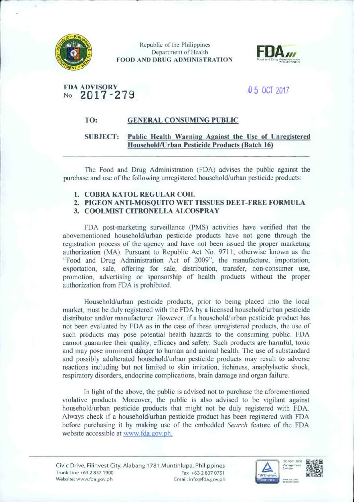

Republic of the Philippines Department of Health FOOD AND DRUG ADMINISTRATION



## $,05$  OCT 2017<br>No. 2017-279 No. 2017-279

## TO: GENERAL CONSUMING PUBLIC

## SUBJECT: Public Health Warning Against the Use of Unregistered Household/Urban Pesticide Products (Batch 16)

The Food and Drug Administration (FDA) advises the public against the purchase and use of the following unregistered household/urban pesticide products:

- 1. COBRA KATOL REGULAR COIL
- 2. PIGEON ANTI-MOSQUITO WET TISSUES DEET-FREE FORMULA
- 3. COOLMIST CITRONELLA ALCOSPRAY

FDA post-marketing surveillance (PMS) activities have verified that the abovementioned household/urban pesticide products have not gone through the registration process of the agency and have not been issued the proper marketing authorization (MA). Pursuant to Republic Act No. 9711, otherwise known as the "Food and Drug Administration Act of 2009'', the manufacture, importation, exportation, sale, offering for sale, distribution, transfer, non-consumer use, promotion, advertising or sponsorship of health products without the proper authorization from FDA is prohibited.

Household/urban pesticide products, prior to being placed into the local market, must be duly registered with the FDA by a licensed household/urban pesticide distributor and/or manufacturer. However, if a household/urban pesticide product has not been evaluated by FDA as in the case of these unregistered products, the use of such products may pose potential health hazards to the consuming public. FDA cannot guarantee their quality, efficacy and safety. Such products are harmful, toxic and may pose imminent danger to human and animal health. The use of substandard and possibly adulterated household/urban pesticide products may result to adverse reactions including but not limited to skin irritation, itchiness, anaphylactic shock, respiratory disorders, endocrine complications, brain damage and organ failure.

In light of the above, the public is advised not to purchase the aforementioned violative products. Moreover, the public is also advised to be vigilant against household/urban pesticide products that might not be duly registered with FDA Always check if a household/urban pesticide product has been registered with FDA before purchasing it by making use of the embedded *Search* feature of the FDA website accessible at www.fda.gov.ph.



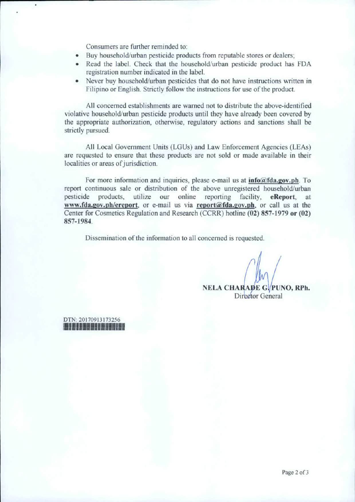Consumers are further reminded to:

- Buy household/urban pesticide products from reputable stores or dealers;
- Read the label. Check that the household/urban pesticide product has FDA registration number indicated in the label.
- Never buy household/urban pesticides that do not have instructions written in Filipino or English. Strictly follow the instructions for use of the product.

All concerned establishments are warned not to distribute the above-identified violative household/urban pesticide products until they have already been covered by the appropriate authorization, otherwise, regulatory actions and sanctions shall be strictly pursued.

All Local Government Units (LGUs) and Law Enforcement Agencies (LEAs) are requested to ensure that these products are not sold or made available in their localities or areas of jurisdiction,

For more information and inquiries, please e-mail us at  $info@fda.gov.ph$ . To report continuous sale or distribution of the above unregistered household/urban pesticide products, utilize our online reporting facility, eReport, at www.fda.gov.ph/ereport, or e-mail us via report@fda.gov.ph, or call us at the Center for Cosmetics Regulation and Research (CCRR) hotline (02) 857-1979 or (02) 857-1984.

Dissemination of the information to all concerned is requested.

**NELA CHARADE G/PUNO, RPh.** Director General

| <b>BINGLUE BIZHUNGLUE</b> |  |
|---------------------------|--|